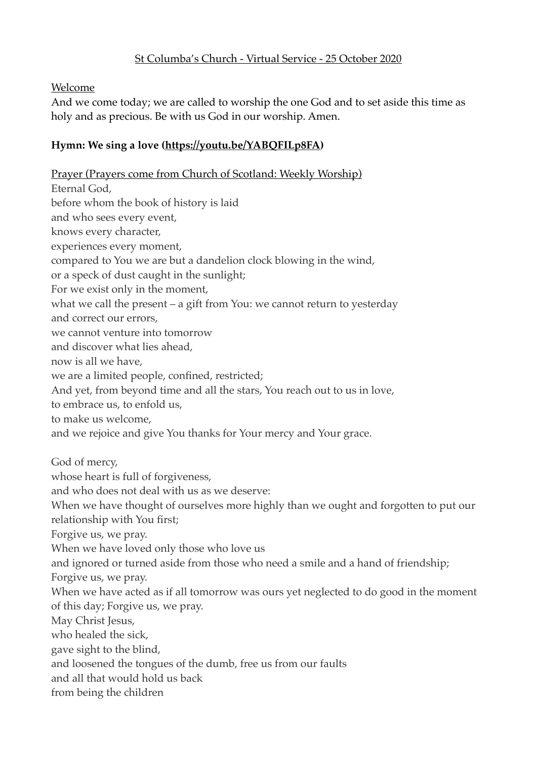## St Columba's Church - Virtual Service - 25 October 2020

#### Welcome

And we come today; we are called to worship the one God and to set aside this time as holy and as precious. Be with us God in our worship. Amen.

### **Hymn: We sing a love [\(https://youtu.be/YABQFILp8FA](https://youtu.be/YABQFILp8FA))**

Prayer (Prayers come from Church of Scotland: Weekly Worship) Eternal God, before whom the book of history is laid and who sees every event, knows every character, experiences every moment, compared to You we are but a dandelion clock blowing in the wind, or a speck of dust caught in the sunlight; For we exist only in the moment, what we call the present – a gift from You: we cannot return to yesterday and correct our errors, we cannot venture into tomorrow and discover what lies ahead, now is all we have, we are a limited people, confined, restricted; And yet, from beyond time and all the stars, You reach out to us in love, to embrace us, to enfold us, to make us welcome, and we rejoice and give You thanks for Your mercy and Your grace. God of mercy, whose heart is full of forgiveness, and who does not deal with us as we deserve: When we have thought of ourselves more highly than we ought and forgotten to put our relationship with You first; Forgive us, we pray. When we have loved only those who love us and ignored or turned aside from those who need a smile and a hand of friendship; Forgive us, we pray. When we have acted as if all tomorrow was ours yet neglected to do good in the moment of this day; Forgive us, we pray. May Christ Jesus, who healed the sick, gave sight to the blind, and loosened the tongues of the dumb, free us from our faults and all that would hold us back from being the children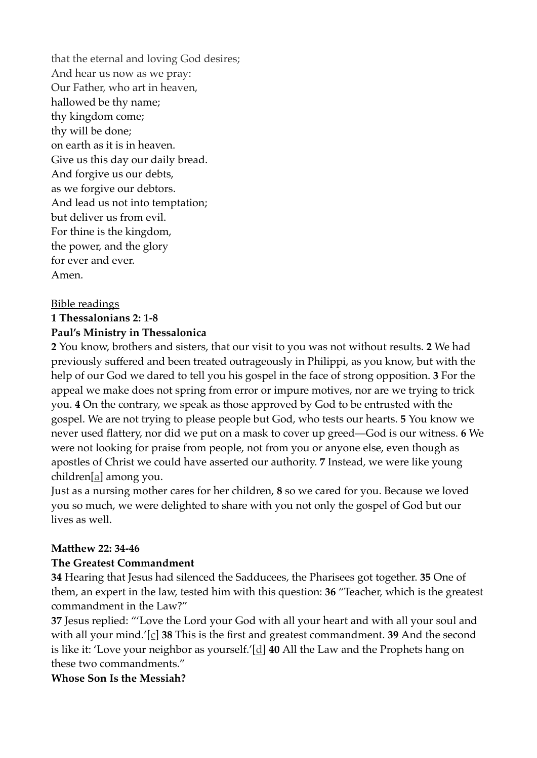that the eternal and loving God desires; And hear us now as we pray: Our Father, who art in heaven, hallowed be thy name; thy kingdom come; thy will be done; on earth as it is in heaven. Give us this day our daily bread. And forgive us our debts, as we forgive our debtors. And lead us not into temptation; but deliver us from evil. For thine is the kingdom, the power, and the glory for ever and ever. Amen.

#### Bible readings

### **1 Thessalonians 2: 1-8 Paul's Ministry in Thessalonica**

**2** You know, brothers and sisters, that our visit to you was not without results. **2** We had previously suffered and been treated outrageously in Philippi, as you know, but with the help of our God we dared to tell you his gospel in the face of strong opposition. **3** For the appeal we make does not spring from error or impure motives, nor are we trying to trick you. **4** On the contrary, we speak as those approved by God to be entrusted with the gospel. We are not trying to please people but God, who tests our hearts. **5** You know we never used flattery, nor did we put on a mask to cover up greed—God is our witness. **6** We were not looking for praise from people, not from you or anyone else, even though as apostles of Christ we could have asserted our authority. **7** Instead, we were like young children[a] among you.

Just as a nursing mother cares for her children, **8** so we cared for you. Because we loved you so much, we were delighted to share with you not only the gospel of God but our lives as well.

#### **Matthew 22: 34-46**

#### **The Greatest Commandment**

**34** Hearing that Jesus had silenced the Sadducees, the Pharisees got together. **35** One of them, an expert in the law, tested him with this question: **36** "Teacher, which is the greatest commandment in the Law?"

**37** Jesus replied: "'Love the Lord your God with all your heart and with all your soul and with all your mind.'[c] **38** This is the first and greatest commandment. **39** And the second is like it: 'Love your neighbor as yourself.'[d] **40** All the Law and the Prophets hang on these two commandments."

#### **Whose Son Is the Messiah?**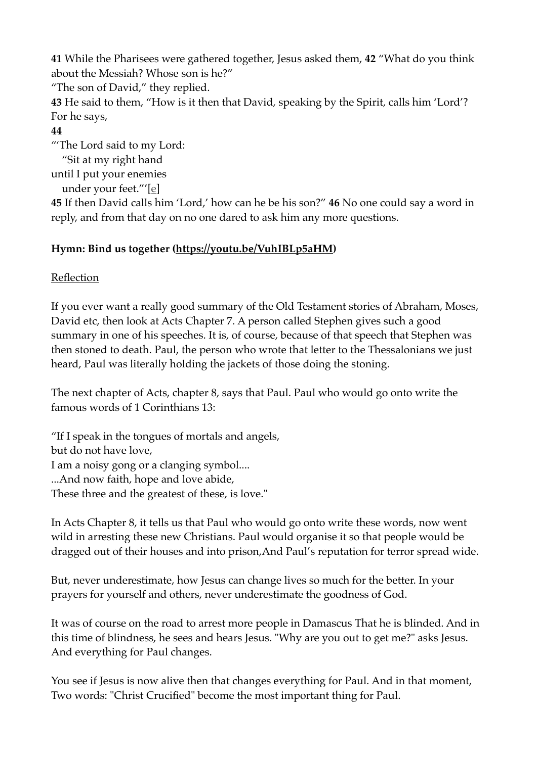**41** While the Pharisees were gathered together, Jesus asked them, **42** "What do you think about the Messiah? Whose son is he?"

"The son of David," they replied.

**43** He said to them, "How is it then that David, speaking by the Spirit, calls him 'Lord'? For he says,

## **44**

"'The Lord said to my Lord:

 "Sit at my right hand until I put your enemies

under your feet."'[e]

**45** If then David calls him 'Lord,' how can he be his son?" **46** No one could say a word in reply, and from that day on no one dared to ask him any more questions.

# **Hymn: Bind us together [\(https://youtu.be/VuhIBLp5aHM](https://youtu.be/VuhIBLp5aHM))**

## Reflection

If you ever want a really good summary of the Old Testament stories of Abraham, Moses, David etc, then look at Acts Chapter 7. A person called Stephen gives such a good summary in one of his speeches. It is, of course, because of that speech that Stephen was then stoned to death. Paul, the person who wrote that letter to the Thessalonians we just heard, Paul was literally holding the jackets of those doing the stoning.

The next chapter of Acts, chapter 8, says that Paul. Paul who would go onto write the famous words of 1 Corinthians 13:

"If I speak in the tongues of mortals and angels, but do not have love, I am a noisy gong or a clanging symbol.... ...And now faith, hope and love abide, These three and the greatest of these, is love."

In Acts Chapter 8, it tells us that Paul who would go onto write these words, now went wild in arresting these new Christians. Paul would organise it so that people would be dragged out of their houses and into prison,And Paul's reputation for terror spread wide.

But, never underestimate, how Jesus can change lives so much for the better. In your prayers for yourself and others, never underestimate the goodness of God.

It was of course on the road to arrest more people in Damascus That he is blinded. And in this time of blindness, he sees and hears Jesus. "Why are you out to get me?" asks Jesus. And everything for Paul changes.

You see if Jesus is now alive then that changes everything for Paul. And in that moment, Two words: "Christ Crucified" become the most important thing for Paul.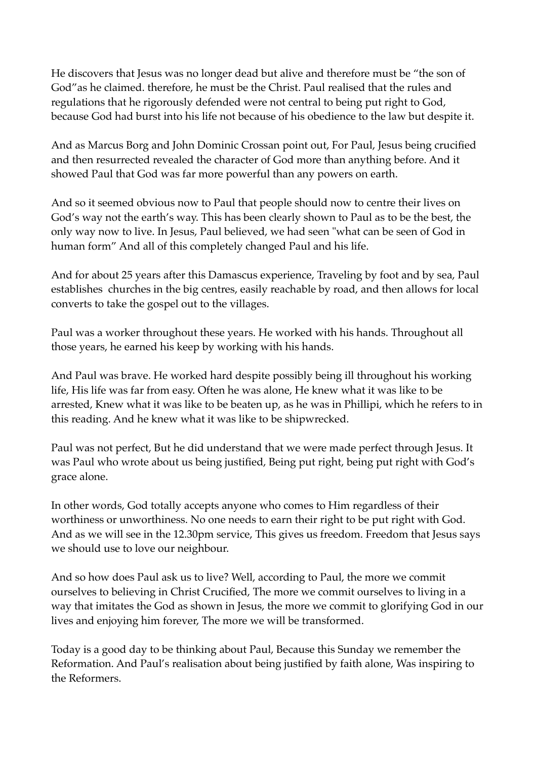He discovers that Jesus was no longer dead but alive and therefore must be "the son of God"as he claimed. therefore, he must be the Christ. Paul realised that the rules and regulations that he rigorously defended were not central to being put right to God, because God had burst into his life not because of his obedience to the law but despite it.

And as Marcus Borg and John Dominic Crossan point out, For Paul, Jesus being crucified and then resurrected revealed the character of God more than anything before. And it showed Paul that God was far more powerful than any powers on earth.

And so it seemed obvious now to Paul that people should now to centre their lives on God's way not the earth's way. This has been clearly shown to Paul as to be the best, the only way now to live. In Jesus, Paul believed, we had seen "what can be seen of God in human form" And all of this completely changed Paul and his life.

And for about 25 years after this Damascus experience, Traveling by foot and by sea, Paul establishes churches in the big centres, easily reachable by road, and then allows for local converts to take the gospel out to the villages.

Paul was a worker throughout these years. He worked with his hands. Throughout all those years, he earned his keep by working with his hands.

And Paul was brave. He worked hard despite possibly being ill throughout his working life, His life was far from easy. Often he was alone, He knew what it was like to be arrested, Knew what it was like to be beaten up, as he was in Phillipi, which he refers to in this reading. And he knew what it was like to be shipwrecked.

Paul was not perfect, But he did understand that we were made perfect through Jesus. It was Paul who wrote about us being justified, Being put right, being put right with God's grace alone.

In other words, God totally accepts anyone who comes to Him regardless of their worthiness or unworthiness. No one needs to earn their right to be put right with God. And as we will see in the 12.30pm service, This gives us freedom. Freedom that Jesus says we should use to love our neighbour.

And so how does Paul ask us to live? Well, according to Paul, the more we commit ourselves to believing in Christ Crucified, The more we commit ourselves to living in a way that imitates the God as shown in Jesus, the more we commit to glorifying God in our lives and enjoying him forever, The more we will be transformed.

Today is a good day to be thinking about Paul, Because this Sunday we remember the Reformation. And Paul's realisation about being justified by faith alone, Was inspiring to the Reformers.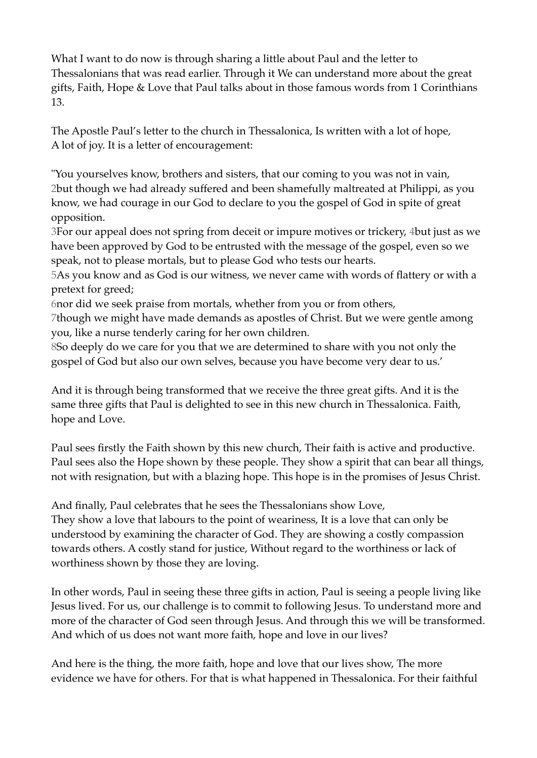What I want to do now is through sharing a little about Paul and the letter to Thessalonians that was read earlier. Through it We can understand more about the great gifts, Faith, Hope & Love that Paul talks about in those famous words from 1 Corinthians 13.

The Apostle Paul's letter to the church in Thessalonica, Is written with a lot of hope, A lot of joy. It is a letter of encouragement:

"You yourselves know, brothers and sisters, that our coming to you was not in vain, 2but though we had already suffered and been shamefully maltreated at Philippi, as you know, we had courage in our God to declare to you the gospel of God in spite of great opposition.

3For our appeal does not spring from deceit or impure motives or trickery, 4but just as we have been approved by God to be entrusted with the message of the gospel, even so we speak, not to please mortals, but to please God who tests our hearts.

5As you know and as God is our witness, we never came with words of flattery or with a pretext for greed;

6nor did we seek praise from mortals, whether from you or from others,

7though we might have made demands as apostles of Christ. But we were gentle among you, like a nurse tenderly caring for her own children.

8So deeply do we care for you that we are determined to share with you not only the gospel of God but also our own selves, because you have become very dear to us.'

And it is through being transformed that we receive the three great gifts. And it is the same three gifts that Paul is delighted to see in this new church in Thessalonica. Faith, hope and Love.

Paul sees firstly the Faith shown by this new church, Their faith is active and productive. Paul sees also the Hope shown by these people. They show a spirit that can bear all things, not with resignation, but with a blazing hope. This hope is in the promises of Jesus Christ.

And finally, Paul celebrates that he sees the Thessalonians show Love, They show a love that labours to the point of weariness, It is a love that can only be understood by examining the character of God. They are showing a costly compassion towards others. A costly stand for justice, Without regard to the worthiness or lack of worthiness shown by those they are loving.

In other words, Paul in seeing these three gifts in action, Paul is seeing a people living like Jesus lived. For us, our challenge is to commit to following Jesus. To understand more and more of the character of God seen through Jesus. And through this we will be transformed. And which of us does not want more faith, hope and love in our lives?

And here is the thing, the more faith, hope and love that our lives show, The more evidence we have for others. For that is what happened in Thessalonica. For their faithful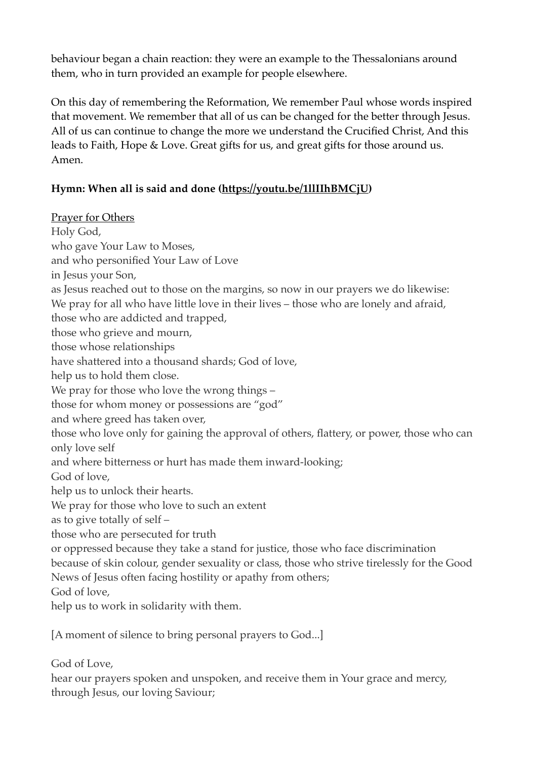behaviour began a chain reaction: they were an example to the Thessalonians around them, who in turn provided an example for people elsewhere.

On this day of remembering the Reformation, We remember Paul whose words inspired that movement. We remember that all of us can be changed for the better through Jesus. All of us can continue to change the more we understand the Crucified Christ, And this leads to Faith, Hope & Love. Great gifts for us, and great gifts for those around us. Amen.

## **Hymn: When all is said and done ([https://youtu.be/1llIIhBMCjU\)](https://youtu.be/1llIIhBMCjU)**

Prayer for Others Holy God, who gave Your Law to Moses, and who personified Your Law of Love in Jesus your Son, as Jesus reached out to those on the margins, so now in our prayers we do likewise: We pray for all who have little love in their lives – those who are lonely and afraid, those who are addicted and trapped, those who grieve and mourn, those whose relationships have shattered into a thousand shards; God of love, help us to hold them close. We pray for those who love the wrong things – those for whom money or possessions are "god" and where greed has taken over, those who love only for gaining the approval of others, flattery, or power, those who can only love self and where bitterness or hurt has made them inward-looking; God of love, help us to unlock their hearts. We pray for those who love to such an extent as to give totally of self – those who are persecuted for truth or oppressed because they take a stand for justice, those who face discrimination because of skin colour, gender sexuality or class, those who strive tirelessly for the Good News of Jesus often facing hostility or apathy from others; God of love, help us to work in solidarity with them.

[A moment of silence to bring personal prayers to God...]

God of Love,

hear our prayers spoken and unspoken, and receive them in Your grace and mercy, through Jesus, our loving Saviour;